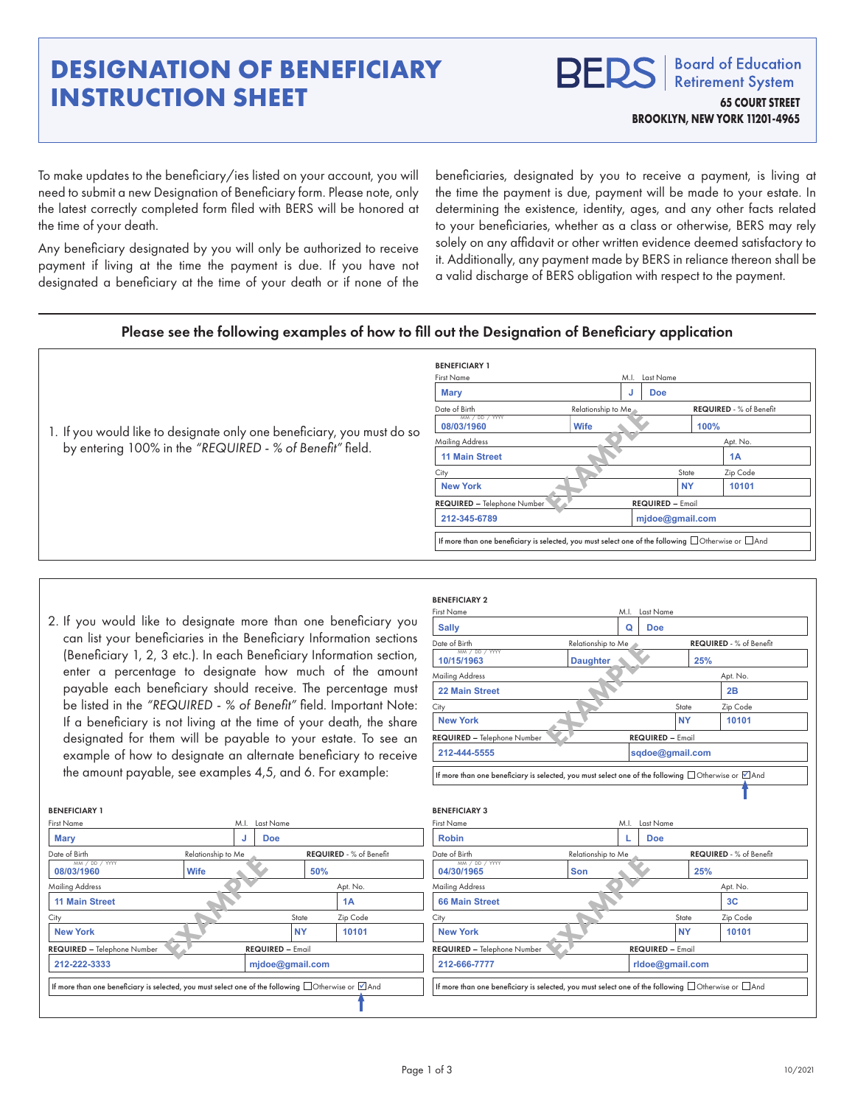## **DESIGNATION OF BENEFICIARY INSTRUCTION SHEET**

**Board of Education RFD! Retirement System 65 COURT STREET BROOKLYN, NEW YORK 11201-4965**

To make updates to the beneficiary/ies listed on your account, you will need to submit a new Designation of Beneficiary form. Please note, only the latest correctly completed form filed with BERS will be honored at the time of your death.

Any beneficiary designated by you will only be authorized to receive payment if living at the time the payment is due. If you have not designated a beneficiary at the time of your death or if none of the beneficiaries, designated by you to receive a payment, is living at the time the payment is due, payment will be made to your estate. In determining the existence, identity, ages, and any other facts related to your beneficiaries, whether as a class or otherwise, BERS may rely solely on any affidavit or other written evidence deemed satisfactory to it. Additionally, any payment made by BERS in reliance thereon shall be a valid discharge of BERS obligation with respect to the payment.

## Please see the following examples of how to fill out the Designation of Beneficiary application

|                                                                        | <b>BENEFICIARY 1</b>                                                                                          |                    |                         |                                |          |
|------------------------------------------------------------------------|---------------------------------------------------------------------------------------------------------------|--------------------|-------------------------|--------------------------------|----------|
|                                                                        | <b>First Name</b>                                                                                             |                    | M.I. Last Name          |                                |          |
|                                                                        | Mary                                                                                                          |                    | <b>Doe</b><br>J         |                                |          |
|                                                                        | Date of Birth                                                                                                 | Relationship to Me |                         | <b>REQUIRED</b> - % of Benefit |          |
| 1. If you would like to designate only one beneficiary, you must do so | MM / DD / YYYY<br>08/03/1960                                                                                  | <b>Wife</b>        |                         | 100%                           |          |
|                                                                        | <b>Mailing Address</b>                                                                                        |                    |                         |                                | Apt. No. |
| by entering 100% in the "REQUIRED - % of Benefit" field.               | <b>11 Main Street</b>                                                                                         |                    |                         | 1A                             |          |
|                                                                        | Citv                                                                                                          |                    |                         | State                          | Zip Code |
|                                                                        | <b>New York</b>                                                                                               |                    |                         | <b>NY</b>                      | 10101    |
|                                                                        | REQUIRED - Telephone Number                                                                                   |                    | <b>REQUIRED - Email</b> |                                |          |
|                                                                        | 212-345-6789                                                                                                  |                    | mjdoe@gmail.com         |                                |          |
|                                                                        | If more than one beneficiary is selected, you must select one of the following $\Box$ Otherwise or $\Box$ And |                    |                         |                                |          |

BENEFICIARY 2

BENEFICIARY 1

|                                   |                 |                   | <b>BENEFICIARTZ</b>                                                                                                                                                                                                                                                                                                                                                                                                                                                                                                                                                                                                                                                                                                                                      |                                  |                                                                          |                                                                                                                                                                                                                                                        |
|-----------------------------------|-----------------|-------------------|----------------------------------------------------------------------------------------------------------------------------------------------------------------------------------------------------------------------------------------------------------------------------------------------------------------------------------------------------------------------------------------------------------------------------------------------------------------------------------------------------------------------------------------------------------------------------------------------------------------------------------------------------------------------------------------------------------------------------------------------------------|----------------------------------|--------------------------------------------------------------------------|--------------------------------------------------------------------------------------------------------------------------------------------------------------------------------------------------------------------------------------------------------|
|                                   |                 |                   | <b>First Name</b>                                                                                                                                                                                                                                                                                                                                                                                                                                                                                                                                                                                                                                                                                                                                        |                                  |                                                                          |                                                                                                                                                                                                                                                        |
|                                   |                 |                   | <b>Sally</b>                                                                                                                                                                                                                                                                                                                                                                                                                                                                                                                                                                                                                                                                                                                                             | Q                                |                                                                          |                                                                                                                                                                                                                                                        |
|                                   |                 |                   | Date of Birth                                                                                                                                                                                                                                                                                                                                                                                                                                                                                                                                                                                                                                                                                                                                            | Relationship to Me               |                                                                          | <b>REQUIRED</b> - % of Benefit                                                                                                                                                                                                                         |
|                                   |                 |                   | 10/15/1963                                                                                                                                                                                                                                                                                                                                                                                                                                                                                                                                                                                                                                                                                                                                               | <b>Daughter</b>                  | 25%                                                                      |                                                                                                                                                                                                                                                        |
|                                   |                 |                   | <b>Mailing Address</b>                                                                                                                                                                                                                                                                                                                                                                                                                                                                                                                                                                                                                                                                                                                                   |                                  |                                                                          | Apt. No.                                                                                                                                                                                                                                               |
|                                   |                 |                   | 22 Main Street                                                                                                                                                                                                                                                                                                                                                                                                                                                                                                                                                                                                                                                                                                                                           |                                  |                                                                          | 2B                                                                                                                                                                                                                                                     |
|                                   |                 |                   | City                                                                                                                                                                                                                                                                                                                                                                                                                                                                                                                                                                                                                                                                                                                                                     |                                  | State                                                                    | Zip Code                                                                                                                                                                                                                                               |
|                                   |                 |                   | <b>New York</b>                                                                                                                                                                                                                                                                                                                                                                                                                                                                                                                                                                                                                                                                                                                                          |                                  | <b>NY</b>                                                                | 10101                                                                                                                                                                                                                                                  |
|                                   |                 |                   |                                                                                                                                                                                                                                                                                                                                                                                                                                                                                                                                                                                                                                                                                                                                                          |                                  |                                                                          |                                                                                                                                                                                                                                                        |
|                                   |                 |                   | 212-444-5555                                                                                                                                                                                                                                                                                                                                                                                                                                                                                                                                                                                                                                                                                                                                             |                                  |                                                                          |                                                                                                                                                                                                                                                        |
|                                   |                 |                   |                                                                                                                                                                                                                                                                                                                                                                                                                                                                                                                                                                                                                                                                                                                                                          |                                  |                                                                          |                                                                                                                                                                                                                                                        |
|                                   |                 |                   | <b>BENEFICIARY 3</b>                                                                                                                                                                                                                                                                                                                                                                                                                                                                                                                                                                                                                                                                                                                                     |                                  |                                                                          |                                                                                                                                                                                                                                                        |
|                                   |                 |                   | <b>First Name</b>                                                                                                                                                                                                                                                                                                                                                                                                                                                                                                                                                                                                                                                                                                                                        |                                  |                                                                          |                                                                                                                                                                                                                                                        |
|                                   | <b>Doe</b>      |                   | <b>Robin</b>                                                                                                                                                                                                                                                                                                                                                                                                                                                                                                                                                                                                                                                                                                                                             |                                  |                                                                          |                                                                                                                                                                                                                                                        |
| Relationship to Me                |                 |                   | Date of Birth                                                                                                                                                                                                                                                                                                                                                                                                                                                                                                                                                                                                                                                                                                                                            | Relationship to Me               |                                                                          | <b>REQUIRED</b> - % of Benefit                                                                                                                                                                                                                         |
| <b>Wife</b>                       |                 |                   | 04/30/1965                                                                                                                                                                                                                                                                                                                                                                                                                                                                                                                                                                                                                                                                                                                                               | Son                              | 25%                                                                      |                                                                                                                                                                                                                                                        |
|                                   |                 | Apt. No.          | <b>Mailing Address</b>                                                                                                                                                                                                                                                                                                                                                                                                                                                                                                                                                                                                                                                                                                                                   |                                  |                                                                          | Apt. No.                                                                                                                                                                                                                                               |
|                                   |                 | 1A                | <b>66 Main Street</b>                                                                                                                                                                                                                                                                                                                                                                                                                                                                                                                                                                                                                                                                                                                                    |                                  |                                                                          | 3C                                                                                                                                                                                                                                                     |
|                                   | State           | Zip Code          | City                                                                                                                                                                                                                                                                                                                                                                                                                                                                                                                                                                                                                                                                                                                                                     |                                  | State                                                                    | Zip Code                                                                                                                                                                                                                                               |
|                                   | <b>NY</b>       | 10101             | <b>New York</b>                                                                                                                                                                                                                                                                                                                                                                                                                                                                                                                                                                                                                                                                                                                                          |                                  | <b>NY</b>                                                                | 10101                                                                                                                                                                                                                                                  |
| <b>EQUIRED - Telephone Number</b> |                 |                   |                                                                                                                                                                                                                                                                                                                                                                                                                                                                                                                                                                                                                                                                                                                                                          |                                  |                                                                          |                                                                                                                                                                                                                                                        |
|                                   | mjdoe@gmail.com |                   | 212-666-7777                                                                                                                                                                                                                                                                                                                                                                                                                                                                                                                                                                                                                                                                                                                                             |                                  | rldoe@gmail.com                                                          |                                                                                                                                                                                                                                                        |
|                                   |                 |                   |                                                                                                                                                                                                                                                                                                                                                                                                                                                                                                                                                                                                                                                                                                                                                          |                                  |                                                                          |                                                                                                                                                                                                                                                        |
|                                   |                 | Last Name<br>M.I. | . If you would like to designate more than one beneficiary you<br>can list your beneficiaries in the Beneficiary Information sections<br>(Beneficiary 1, 2, 3 etc.). In each Beneficiary Information section,<br>enter a percentage to designate how much of the amount<br>payable each beneficiary should receive. The percentage must<br>be listed in the "REQUIRED - % of Benefit" field. Important Note:<br>If a beneficiary is not living at the time of your death, the share<br>designated for them will be payable to your estate. To see an<br>example of how to designate an alternate beneficiary to receive<br>the amount payable, see examples 4,5, and 6. For example:<br><b>REQUIRED</b> - % of Benefit<br>50%<br><b>REQUIRED - Email</b> | MM / DD / YYYY<br>MM / DD / YYYY | <b>REQUIRED - Telephone Number</b><br><b>REQUIRED - Telephone Number</b> | M.I. Last Name<br><b>Doe</b><br><b>REQUIRED - Email</b><br>sqdoe@gmail.com<br>If more than one beneficiary is selected, you must select one of the following $\Box$ Otherwise or $\Box$ And<br>M.I. Last Name<br><b>Doe</b><br><b>REQUIRED - Email</b> |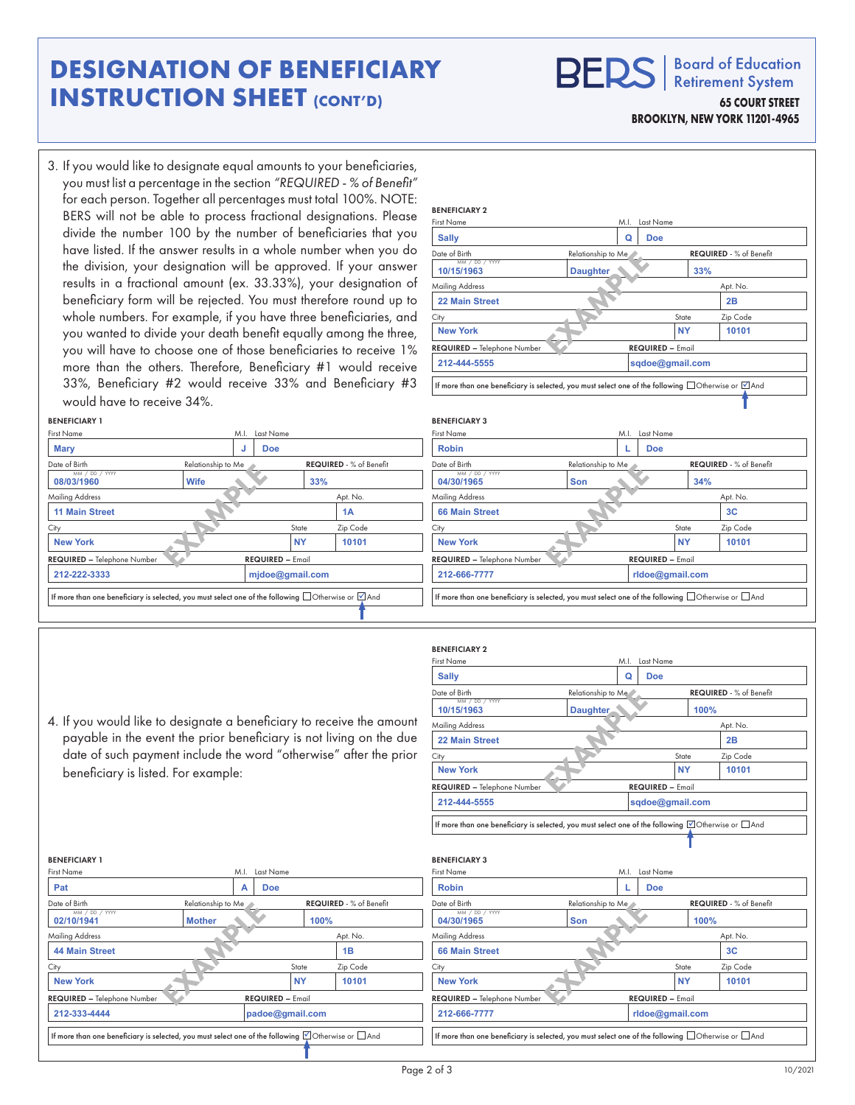## **DESIGNATION OF BENEFICIARY INSTRUCTION SHEET (CONT'D)**

**BERS Retirement System 65 COURT STREET BROOKLYN, NEW YORK 11201-4965**

**Board of Education** 

3. If you would like to designate equal amounts to your beneficiaries, you must list a percentage in the section *"REQUIRED - % of Benefit"*  for each person. Together all percentages must total 100%. NOTE: BERS will not be able to process fractional designations. Please divide the number 100 by the number of beneficiaries that you have listed. If the answer results in a whole number when you do the division, your designation will be approved. If your answer results in a fractional amount (ex. 33.33%), your designation of beneficiary form will be rejected. You must therefore round up to whole numbers. For example, if you have three beneficiaries, and you wanted to divide your death benefit equally among the three, you will have to choose one of those beneficiaries to receive 1% more than the others. Therefore, Beneficiary #1 would receive 33%, Beneficiary #2 would receive 33% and Beneficiary #3

| more than the others. Therefore, Beneficiary #1 would receive<br>33%, Beneficiary #2 would receive 33% and Beneficiary #3 |                    |                         |                                | 212-444-5555                       |                    | sqdoe@gmail.com<br>If more than one beneficiary is selected, you must select one of the following $\Box$ Otherwise or $\Box$ And |
|---------------------------------------------------------------------------------------------------------------------------|--------------------|-------------------------|--------------------------------|------------------------------------|--------------------|----------------------------------------------------------------------------------------------------------------------------------|
| would have to receive 34%.                                                                                                |                    |                         |                                |                                    |                    |                                                                                                                                  |
| <b>BENEFICIARY 1</b>                                                                                                      |                    |                         |                                | <b>BENEFICIARY 3</b>               |                    |                                                                                                                                  |
| <b>First Name</b>                                                                                                         | M.I.               | Last Name               |                                | <b>First Name</b>                  |                    | M.I. Last Name                                                                                                                   |
| <b>Mary</b>                                                                                                               |                    | <b>Doe</b>              |                                | <b>Robin</b>                       |                    | <b>Doe</b>                                                                                                                       |
| Date of Birth                                                                                                             | Relationship to Me |                         | <b>REQUIRED - % of Benefit</b> | Date of Birth                      | Relationship to Me | REQUIRED - % of Benefit                                                                                                          |
| MM / DD / YYYY<br>08/03/1960                                                                                              | <b>Wife</b>        |                         | 33%                            | MM / DD / YYYY<br>04/30/1965       | <b>Son</b>         | 34%                                                                                                                              |
| <b>Mailing Address</b>                                                                                                    |                    |                         | Apt. No.                       | <b>Mailing Address</b>             |                    | Apt. No.                                                                                                                         |
| <b>11 Main Street</b>                                                                                                     |                    |                         | 1A                             | <b>66 Main Street</b>              |                    | 3 <sub>C</sub>                                                                                                                   |
| City                                                                                                                      |                    | State                   | Zip Code                       | City                               |                    | Zip Code<br>State                                                                                                                |
| <b>New York</b>                                                                                                           |                    | <b>NY</b>               | 10101                          | <b>New York</b>                    |                    | <b>NY</b><br>10101                                                                                                               |
| <b>REQUIRED - Telephone Number</b>                                                                                        |                    | <b>REQUIRED - Email</b> |                                | <b>REQUIRED - Telephone Number</b> |                    | <b>REQUIRED - Email</b>                                                                                                          |
| 212-222-3333                                                                                                              |                    | midoe@gmail.com         |                                | 212-666-7777                       |                    | rldoe@gmail.com                                                                                                                  |
| If more than one beneficiary is selected, you must select one of the following $\Box$ Otherwise or $\Box$ And             |                    |                         |                                |                                    |                    | If more than one beneficiary is selected, you must select one of the following $\Box$ Otherwise or $\Box$ And                    |

BENEFICIARY 2

 $10/15/1963$ 

4. If you would like to designate a beneficiary to receive the amou payable in the event the prior beneficiary is not living on the d date of such payment include the word "otherwise" after the pri beneficiary is listed. For example:

Date of Birth Relationship to Me REQUIRED - % of Benefit

City State Zip Code

**Example of Mother**<br>
Mother<br> **EXAMPLE OF THE REGU** 

**New York NY 10101** 

If more than one beneficiary is selected, you must select one of the following  $\boxdot$  Otherwise or  $\Box$  And

Mailing Address **Apt. No.** Apt. No.

**44 Main Street 1B** 

MM / DD / YYYY **02/10/1941 Mother 100%** 

REQUIRED – Telephone Number REQUIRED – Email

**212-333-4444 padoe@gmail.com**

First Name M.I. Last Name

**Pat A Doe**

BENEFICIARY 1

| <b>First Name</b>                                                                            | M.I.                                                                                                          | Last Name               |                                |
|----------------------------------------------------------------------------------------------|---------------------------------------------------------------------------------------------------------------|-------------------------|--------------------------------|
| <b>Sally</b>                                                                                 | Q                                                                                                             | <b>Doe</b>              |                                |
| Date of Birth                                                                                | Relationship to Me                                                                                            |                         | <b>REQUIRED - % of Benefit</b> |
| MM / DD / YYYY<br>10/15/1963                                                                 | <b>Daughter</b>                                                                                               |                         | 100%                           |
| <b>Mailing Address</b>                                                                       |                                                                                                               |                         | Apt. No.                       |
| <b>22 Main Street</b>                                                                        |                                                                                                               |                         | 2B                             |
| City                                                                                         |                                                                                                               | State                   | Zip Code                       |
| <b>New York</b>                                                                              |                                                                                                               | <b>NY</b>               | 10101                          |
| REQUIRED - Telephone Number                                                                  |                                                                                                               | <b>REQUIRED - Email</b> |                                |
| 212-444-5555                                                                                 |                                                                                                               | sqdoe@gmail.com         |                                |
|                                                                                              | If more than one beneficiary is selected, you must select one of the following $\Box$ Otherwise or $\Box$ And |                         |                                |
|                                                                                              | M.I.                                                                                                          | Last Name               |                                |
| <b>Robin</b>                                                                                 | L                                                                                                             | <b>Doe</b>              |                                |
|                                                                                              | Relationship to Me                                                                                            |                         | <b>REQUIRED</b> - % of Benefit |
| MM / DD / YYYY<br>04/30/1965                                                                 | Son                                                                                                           |                         | 100%                           |
|                                                                                              |                                                                                                               |                         | Apt. No.                       |
| <b>66 Main Street</b>                                                                        |                                                                                                               |                         | 3C                             |
| <b>BENEFICIARY 3</b><br><b>First Name</b><br>Date of Birth<br><b>Mailing Address</b><br>City |                                                                                                               | State                   | Zip Code                       |
| <b>New York</b>                                                                              |                                                                                                               | <b>NY</b>               | 10101                          |
| REQUIRED - Telephone Number                                                                  |                                                                                                               | <b>REQUIRED - Email</b> |                                |

Date of Birth **Relationship to Me Relationship to Me REQUIRED** - % of Benefit

**10/15/1963 Daughter 33%** 

City State Zip Code

Relationship to Me<br>Daughter<br>REQUEST

**New York NY 10101** 

Mailing Address Apt. No. 49

**22 Main Street 2B** 

First Name M.I. Last Name

**Sally Q Doe**

REQUIRED – Telephone Number REQUIRED – Email